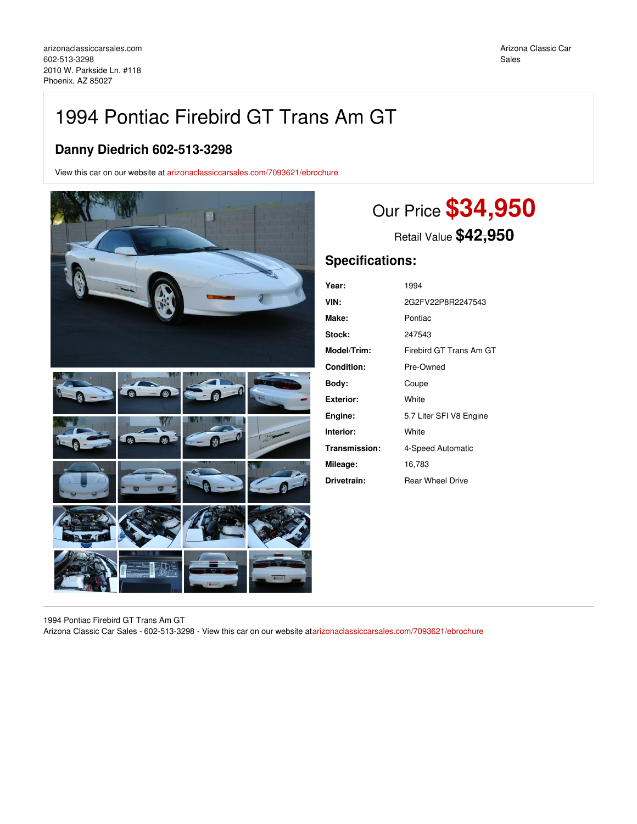## 1994 Pontiac Firebird GT Trans Am GT

## **Danny Diedrich 602-513-3298**

View this car on our website at [arizonaclassiccarsales.com/7093621/ebrochure](https://arizonaclassiccarsales.com/vehicle/7093621/1994-pontiac-firebird-gt-trans-am-gt-phoenix-az-85027/7093621/ebrochure)



# Our Price **\$34,950**

Retail Value **\$42,950**

## **Specifications:**

| Year:         | 1994                    |
|---------------|-------------------------|
| VIN:          | 2G2FV22P8R2247543       |
| Make:         | Pontiac                 |
| Stock:        | 247543                  |
| Model/Trim:   | Firebird GT Trans Am GT |
| Condition:    | Pre-Owned               |
| Body:         | Coupe                   |
| Exterior:     | White                   |
| Engine:       | 5.7 Liter SFI V8 Engine |
| Interior:     | White                   |
| Transmission: | 4-Speed Automatic       |
| Mileage:      | 16,783                  |
| Drivetrain:   | <b>Rear Wheel Drive</b> |

1994 Pontiac Firebird GT Trans Am GT

Arizona Classic Car Sales - 602-513-3298 - View this car on our website at[arizonaclassiccarsales.com/7093621/ebrochure](https://arizonaclassiccarsales.com/vehicle/7093621/1994-pontiac-firebird-gt-trans-am-gt-phoenix-az-85027/7093621/ebrochure)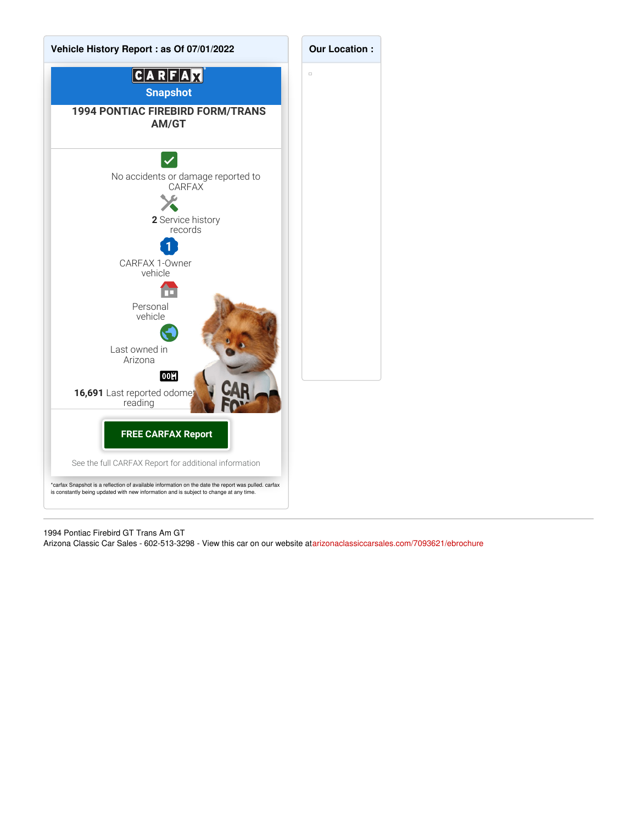

1994 Pontiac Firebird GT Trans Am GT Arizona Classic Car Sales - 602-513-3298 - View this car on our website at[arizonaclassiccarsales.com/7093621/ebrochure](https://arizonaclassiccarsales.com/vehicle/7093621/1994-pontiac-firebird-gt-trans-am-gt-phoenix-az-85027/7093621/ebrochure)